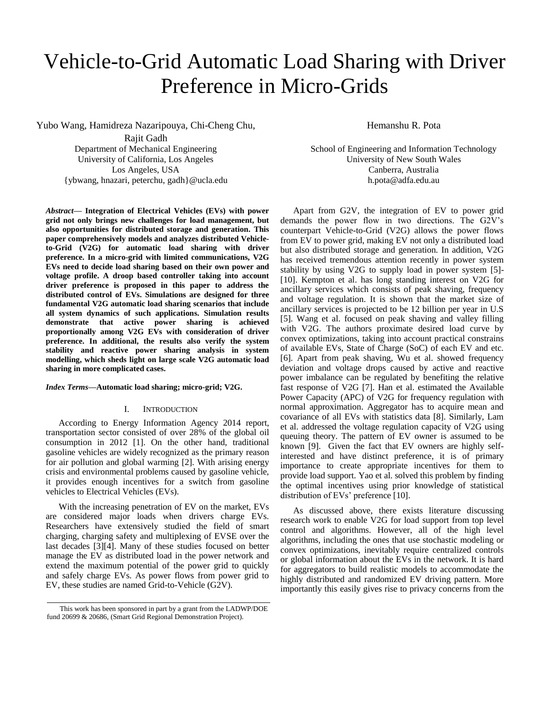# Vehicle-to-Grid Automatic Load Sharing with Driver Preference in Micro-Grids

Yubo Wang, Hamidreza Nazaripouya, Chi-Cheng Chu,

Rajit Gadh Department of Mechanical Engineering University of California, Los Angeles Los Angeles, USA {ybwang, hnazari, peterchu, gadh}@ucla.edu

*Abstract***— Integration of Electrical Vehicles (EVs) with power grid not only brings new challenges for load management, but also opportunities for distributed storage and generation. This paper comprehensively models and analyzes distributed Vehicleto-Grid (V2G) for automatic load sharing with driver preference. In a micro-grid with limited communications, V2G EVs need to decide load sharing based on their own power and voltage profile. A droop based controller taking into account driver preference is proposed in this paper to address the distributed control of EVs. Simulations are designed for three fundamental V2G automatic load sharing scenarios that include all system dynamics of such applications. Simulation results demonstrate that active power sharing is achieved proportionally among V2G EVs with consideration of driver preference. In additional, the results also verify the system stability and reactive power sharing analysis in system modelling, which sheds light on large scale V2G automatic load sharing in more complicated cases.**

# *Index Terms***—Automatic load sharing; micro-grid; V2G.**

### I. INTRODUCTION

According to Energy Information Agency 2014 report, transportation sector consisted of over 28% of the global oil consumption in 2012 [1]. On the other hand, traditional gasoline vehicles are widely recognized as the primary reason for air pollution and global warming [2]. With arising energy crisis and environmental problems caused by gasoline vehicle, it provides enough incentives for a switch from gasoline vehicles to Electrical Vehicles (EVs).

With the increasing penetration of EV on the market, EVs are considered major loads when drivers charge EVs. Researchers have extensively studied the field of smart charging, charging safety and multiplexing of EVSE over the last decades [3][4]. Many of these studies focused on better manage the EV as distributed load in the power network and extend the maximum potential of the power grid to quickly and safely charge EVs. As power flows from power grid to EV, these studies are named Grid-to-Vehicle (G2V).

Hemanshu R. Pota

School of Engineering and Information Technology University of New South Wales Canberra, Australia h.pota@adfa.edu.au

Apart from G2V, the integration of EV to power grid demands the power flow in two directions. The G2V's counterpart Vehicle-to-Grid (V2G) allows the power flows from EV to power grid, making EV not only a distributed load but also distributed storage and generation. In addition, V2G has received tremendous attention recently in power system stability by using V2G to supply load in power system [5]- [10]. Kempton et al. has long standing interest on V2G for ancillary services which consists of peak shaving, frequency and voltage regulation. It is shown that the market size of ancillary services is projected to be 12 billion per year in U.S [5]. Wang et al. focused on peak shaving and valley filling with V2G. The authors proximate desired load curve by convex optimizations, taking into account practical constrains of available EVs, State of Charge (SoC) of each EV and etc. [6]. Apart from peak shaving, Wu et al. showed frequency deviation and voltage drops caused by active and reactive power imbalance can be regulated by benefiting the relative fast response of V2G [7]. Han et al. estimated the Available Power Capacity (APC) of V2G for frequency regulation with normal approximation. Aggregator has to acquire mean and covariance of all EVs with statistics data [8]. Similarly, Lam et al. addressed the voltage regulation capacity of V2G using queuing theory. The pattern of EV owner is assumed to be known [9]. Given the fact that EV owners are highly selfinterested and have distinct preference, it is of primary importance to create appropriate incentives for them to provide load support. Yao et al. solved this problem by finding the optimal incentives using prior knowledge of statistical distribution of EVs' preference [10].

As discussed above, there exists literature discussing research work to enable V2G for load support from top level control and algorithms. However, all of the high level algorithms, including the ones that use stochastic modeling or convex optimizations, inevitably require centralized controls or global information about the EVs in the network. It is hard for aggregators to build realistic models to accommodate the highly distributed and randomized EV driving pattern. More importantly this easily gives rise to privacy concerns from the

This work has been sponsored in part by a grant from the LADWP/DOE fund 20699 & 20686, (Smart Grid Regional Demonstration Project).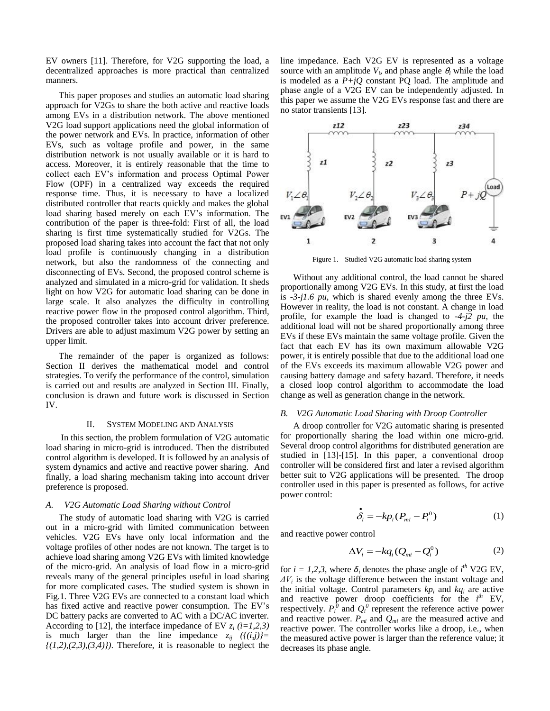EV owners [11]. Therefore, for V2G supporting the load, a decentralized approaches is more practical than centralized manners.

This paper proposes and studies an automatic load sharing approach for V2Gs to share the both active and reactive loads among EVs in a distribution network. The above mentioned V2G load support applications need the global information of the power network and EVs. In practice, information of other EVs, such as voltage profile and power, in the same distribution network is not usually available or it is hard to access. Moreover, it is entirely reasonable that the time to collect each EV's information and process Optimal Power Flow (OPF) in a centralized way exceeds the required response time. Thus, it is necessary to have a localized distributed controller that reacts quickly and makes the global load sharing based merely on each EV's information. The contribution of the paper is three-fold: First of all, the load sharing is first time systematically studied for V2Gs. The proposed load sharing takes into account the fact that not only load profile is continuously changing in a distribution network, but also the randomness of the connecting and disconnecting of EVs. Second, the proposed control scheme is analyzed and simulated in a micro-grid for validation. It sheds light on how V2G for automatic load sharing can be done in large scale. It also analyzes the difficulty in controlling reactive power flow in the proposed control algorithm. Third, the proposed controller takes into account driver preference. Drivers are able to adjust maximum V2G power by setting an upper limit.

The remainder of the paper is organized as follows: Section II derives the mathematical model and control strategies. To verify the performance of the control, simulation is carried out and results are analyzed in Section III. Finally, conclusion is drawn and future work is discussed in Section IV.

#### II. SYSTEM MODELING AND ANALYSIS

In this section, the problem formulation of V2G automatic load sharing in micro-grid is introduced. Then the distributed control algorithm is developed. It is followed by an analysis of system dynamics and active and reactive power sharing. And finally, a load sharing mechanism taking into account driver preference is proposed.

# *A. V2G Automatic Load Sharing without Control*

The study of automatic load sharing with V2G is carried out in a micro-grid with limited communication between vehicles. V2G EVs have only local information and the voltage profiles of other nodes are not known. The target is to achieve load sharing among V2G EVs with limited knowledge of the micro-grid. An analysis of load flow in a micro-grid reveals many of the general principles useful in load sharing for more complicated cases. The studied system is shown in Fig.1. Three V2G EVs are connected to a constant load which has fixed active and reactive power consumption. The EV's DC battery packs are converted to AC with a DC/AC inverter. According to [12], the interface impedance of EV  $z_i$  (*i*=1,2,3) is much larger than the line impedance  $z_{ij}$  ( $\{(i,j)\}$ =  $\{(1,2),(2,3),(3,4)\}\)$ . Therefore, it is reasonable to neglect the line impedance. Each V2G EV is represented as a voltage source with an amplitude  $V_i$ , and phase angle  $\theta_i$  while the load is modeled as a  $P+jQ$  constant PQ load. The amplitude and phase angle of a V2G EV can be independently adjusted. In this paper we assume the V2G EVs response fast and there are no stator transients [13].



Figure 1. Studied V2G automatic load sharing system

Without any additional control, the load cannot be shared proportionally among V2G EVs. In this study, at first the load is *-3-j1.6 pu*, which is shared evenly among the three EVs. However in reality, the load is not constant. A change in load profile, for example the load is changed to *-4-j2 pu*, the additional load will not be shared proportionally among three EVs if these EVs maintain the same voltage profile. Given the fact that each EV has its own maximum allowable V2G power, it is entirely possible that due to the additional load one of the EVs exceeds its maximum allowable V2G power and causing battery damage and safety hazard. Therefore, it needs a closed loop control algorithm to accommodate the load change as well as generation change in the network.

#### *B. V2G Automatic Load Sharing with Droop Controller*

A droop controller for V2G automatic sharing is presented for proportionally sharing the load within one micro-grid. Several droop control algorithms for distributed generation are studied in [13]-[15]. In this paper, a conventional droop controller will be considered first and later a revised algorithm better suit to V2G applications will be presented. The droop controller used in this paper is presented as follows, for active power control:

$$
\stackrel{\bullet}{\delta_i} = -kp_i(P_{mi} - P_i^0) \tag{1}
$$

and reactive power control

$$
\Delta V_i = -k q_i (Q_{mi} - Q_i^0) \tag{2}
$$

for  $i = 1,2,3$ , where  $\delta_i$  denotes the phase angle of  $i^{th}$  V2G EV, *ΔV<sup>i</sup>* is the voltage difference between the instant voltage and the initial voltage. Control parameters  $kp_i$  and  $kq_i$  are active and reactive power droop coefficients for the  $i^{th}$  EV, respectively.  $P_i^{\{0\}}$  and  $Q_i^{\{0\}}$  represent the reference active power and reactive power.  $P_{mi}$  and  $Q_{mi}$  are the measured active and reactive power. The controller works like a droop, i.e., when the measured active power is larger than the reference value; it decreases its phase angle.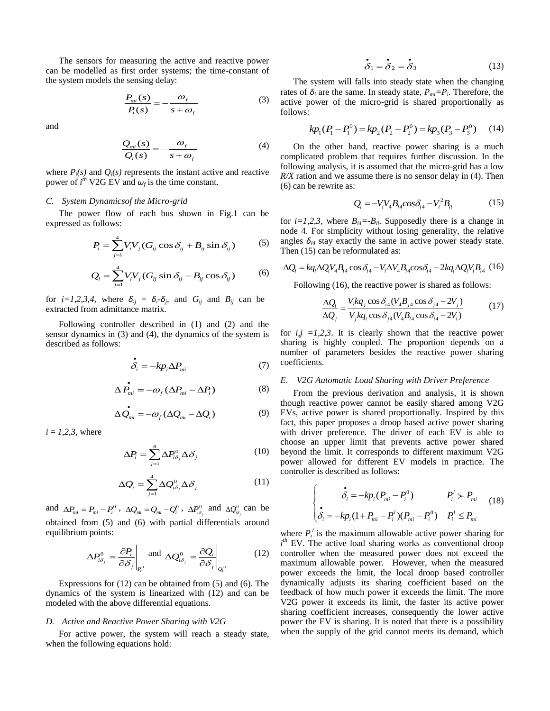The sensors for measuring the active and reactive power can be modelled as first order systems; the time-constant of the system models the sensing delay:

$$
\frac{P_{mi}(s)}{P_i(s)} = -\frac{\omega_f}{s + \omega_f} \tag{3}
$$

and

$$
\frac{Q_{mi}(s)}{Q_i(s)} = -\frac{\omega_f}{s + \omega_f} \tag{4}
$$

where  $P_i(s)$  and  $Q_i(s)$  represents the instant active and reactive power of  $i^{th}$  V2G EV and  $\omega_f$  is the time constant.

# *C. System Dynamicsof the Micro-grid*

The power flow of each bus shown in Fig.1 can be expressed as follows:

$$
P_i = \sum_{j=1}^{4} V_i V_j (G_{ij} \cos \delta_{ij} + B_{ij} \sin \delta_{ij})
$$
 (5)

$$
Q_i = \sum_{j=1}^{4} V_i V_j (G_{ij} \sin \delta_{ij} - B_{ij} \cos \delta_{ij})
$$
 (6)

for  $i=1,2,3,4$ , where  $\delta_{ij} = \delta_i - \delta_j$ , and  $G_{ij}$  and  $B_{ij}$  can be extracted from admittance matrix.

Following controller described in (1) and (2) and the sensor dynamics in (3) and (4), the dynamics of the system is described as follows:

$$
\dot{\delta}_i = -kp_i\Delta P_{mi} \tag{7}
$$

$$
\Delta \vec{P}_{mi} = -\omega_f \left( \Delta P_{mi} - \Delta P_i \right) \tag{8}
$$

$$
\Delta \dot{Q}_{mi} = -\omega_f (\Delta Q_{mi} - \Delta Q_i)
$$
 (9)

 $i = 1, 2, 3$ , where

$$
\Delta P_i = \sum_{j=1}^4 \Delta P_{i\delta_j}^0 \Delta \delta_j \tag{10}
$$

$$
\Delta Q_i = \sum_{j=1}^4 \Delta Q_{i\delta_j}^0 \Delta \delta_j \tag{11}
$$

and  $\Delta P_{mi} = P_{mi} - P_i^0$ ,  $\Delta Q_{mi} = Q_{mi} - Q_i^0$ ,  $\Delta P_{i\delta_j}^0$  and  $\Delta Q_{i\delta_j}^0$  can be obtained from (5) and (6) with partial differentials around equilibrium points:

$$
\Delta P_{i\delta_j}^0 = \frac{\partial P_i}{\partial \delta_j}\Big|_{P_i^0} \text{ and } \Delta Q_{i\delta_j}^0 = \frac{\partial Q_i}{\partial \delta_j}\Big|_{Q_i^0} \tag{12}
$$

Expressions for (12) can be obtained from (5) and (6). The dynamics of the system is linearized with (12) and can be modeled with the above differential equations.

#### *D. Active and Reactive Power Sharing with V2G*

For active power, the system will reach a steady state, when the following equations hold:

$$
\dot{\delta}_1 = \dot{\delta}_2 = \dot{\delta}_3 \tag{13}
$$

The system will falls into steady state when the changing rates of  $\delta_i$  are the same. In steady state,  $P_{mi} = P_i$ . Therefore, the active power of the micro-grid is shared proportionally as follows:

$$
kp_1(P_1 - P_1^0) = kp_2(P_2 - P_2^0) = kp_3(P_3 - P_3^0)
$$
 (14)

On the other hand, reactive power sharing is a much complicated problem that requires further discussion. In the following analysis, it is assumed that the micro-grid has a low *R/X* ration and we assume there is no sensor delay in (4). Then (6) can be rewrite as:

$$
Q_i = -V_i V_4 B_{i4} cos \delta_{i4} - V_i^2 B_{ii}
$$
 (15)

for  $i=1,2,3$ , where  $B_{i4}=-B_{ii}$ . Supposedly there is a change in node 4. For simplicity without losing generality, the relative angles  $\delta_{i4}$  stay exactly the same in active power steady state. angles  $o_{i4}$  stay exactly the same in active power steady st<br>Then (15) can be reformulated as:<br> $\Delta Q_i = k q_i \Delta Q_i V_4 B_{i4} \cos \delta_{i4} - V_i \Delta V_4 B_{i4} \cos \delta_{i4} - 2k q_i \Delta Q_i V_i B_{i4}$ 

$$
\Delta Q_i = k q_i \Delta Q_i V_4 B_{i4} \cos \delta_{i4} - V_i \Delta V_4 B_{i4} \cos \delta_{i4} - 2k q_i \Delta Q_i V_i B_{i4} \quad (16)
$$

Following (16), the reactive power is shared as follows:  
\n
$$
\frac{\Delta Q_i}{\Delta Q_j} = \frac{V_i k q_j \cos \delta_{i4} (V_4 B_{j4} \cos \delta_{j4} - 2V_j)}{V_j k q_i \cos \delta_{j4} (V_4 B_{i4} \cos \delta_{i4} - 2V_i)}
$$
\n(17)

for  $i, j = 1, 2, 3$ . It is clearly shown that the reactive power sharing is highly coupled. The proportion depends on a number of parameters besides the reactive power sharing coefficients.

## *E. V2G Automatic Load Sharing with Driver Preference*

From the previous derivation and analysis, it is shown though reactive power cannot be easily shared among V2G EVs, active power is shared proportionally. Inspired by this fact, this paper proposes a droop based active power sharing with driver preference. The driver of each EV is able to choose an upper limit that prevents active power shared beyond the limit. It corresponds to different maximum V2G power allowed for different EV models in practice. The controller is described as follows:

$$
\begin{cases}\n\dot{\delta}_i = -kp_i(P_{mi} - P_i^0) & P_i^l > P_{mi} \\
\dot{\delta}_i = -kp_i(1 + P_{mi} - P_i^l)(P_{mi} - P_i^0) & P_i^l \le P_{mi}\n\end{cases}
$$
\n(18)

where  $P_i^l$  is the maximum allowable active power sharing for *i*<sup>th</sup> EV. The active load sharing works as conventional droop controller when the measured power does not exceed the maximum allowable power. However, when the measured power exceeds the limit, the local droop based controller dynamically adjusts its sharing coefficient based on the feedback of how much power it exceeds the limit. The more V2G power it exceeds its limit, the faster its active power sharing coefficient increases, consequently the lower active power the EV is sharing. It is noted that there is a possibility when the supply of the grid cannot meets its demand, which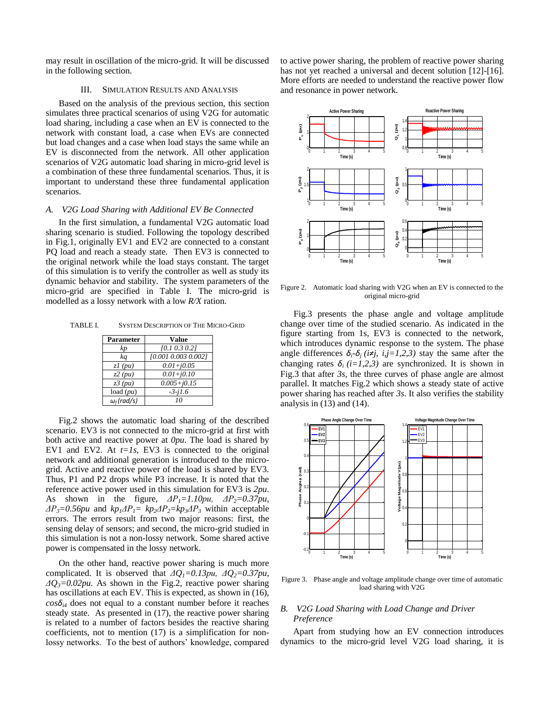may result in oscillation of the micro-grid. It will be discussed in the following section.

### III. SIMULATION RESULTS AND ANALYSIS

Based on the analysis of the previous section, this section simulates three practical scenarios of using V2G for automatic load sharing, including a case when an EV is connected to the network with constant load, a case when EVs are connected but load changes and a case when load stays the same while an EV is disconnected from the network. All other application scenarios of V2G automatic load sharing in micro-grid level is a combination of these three fundamental scenarios. Thus, it is important to understand these three fundamental application scenarios.

#### *A. V2G Load Sharing with Additional EV Be Connected*

In the first simulation, a fundamental V2G automatic load sharing scenario is studied. Following the topology described in Fig.1, originally EV1 and EV2 are connected to a constant PQ load and reach a steady state. Then EV3 is connected to the original network while the load stays constant. The target of this simulation is to verify the controller as well as study its dynamic behavior and stability. The system parameters of the micro-grid are specified in Table I. The micro-grid is modelled as a lossy network with a low *R/X* ration.

TABLE I. SYSTEM DESCRIPTION OF THE MICRO-GRID

| <b>Parameter</b>   | Value               |
|--------------------|---------------------|
| kp                 | $[0.1\ 0.3\ 0.2]$   |
| ka                 | [0.001 0.003 0.002] |
| $zI$ (pu)          | $0.01 + j0.05$      |
| $z^2$ (pu)         | $0.01 + j0.10$      |
| $z3$ (pu)          | $0.005 + j0.15$     |
| load $(pu)$        | $-3 - i1.6$         |
| $\omega_f$ (rad/s) | 10                  |

Fig.2 shows the automatic load sharing of the described scenario. EV3 is not connected to the micro-grid at first with both active and reactive power at *0pu*. The load is shared by EV1 and EV2. At  $t=1s$ , EV3 is connected to the original network and additional generation is introduced to the microgrid. Active and reactive power of the load is shared by EV3. Thus, P1 and P2 drops while P3 increase. It is noted that the reference active power used in this simulation for EV3 is *2pu*. As shown in the figure, *ΔP1=1.10pu, ΔP2=0.37pu,*   $\Delta P_3 = 0.56 \mu u$  and  $k p_1 \Delta P_1 = k p_2 \Delta P_2 = k p_3 \Delta P_3$  within acceptable errors. The errors result from two major reasons: first, the sensing delay of sensors; and second, the micro-grid studied in this simulation is not a non-lossy network. Some shared active power is compensated in the lossy network.

On the other hand, reactive power sharing is much more complicated. It is observed that *ΔQ1=0.13pu, ΔQ2=0.37pu, ΔQ3=0.02pu.* As shown in the Fig.2, reactive power sharing has oscillations at each EV. This is expected, as shown in (16),  $\cos\delta_{i4}$  does not equal to a constant number before it reaches steady state. As presented in (17), the reactive power sharing is related to a number of factors besides the reactive sharing coefficients, not to mention (17) is a simplification for nonlossy networks. To the best of authors' knowledge, compared to active power sharing, the problem of reactive power sharing has not yet reached a universal and decent solution [12]-[16]. More efforts are needed to understand the reactive power flow and resonance in power network.



Figure 2. Automatic load sharing with V2G when an EV is connected to the original micro-grid

 Fig.3 presents the phase angle and voltage amplitude change over time of the studied scenario. As indicated in the figure starting from 1s, EV3 is connected to the network, which introduces dynamic response to the system. The phase angle differences  $\delta_i$ <sup>*-*</sup> $\delta_j$  (i≠j, i,j=1,2,3) stay the same after the changing rates  $\delta_i$  (*i*=1,2,3) are synchronized. It is shown in Fig.3 that after *3s*, the three curves of phase angle are almost parallel. It matches Fig.2 which shows a steady state of active power sharing has reached after *3s*. It also verifies the stability analysis in (13) and (14).



Figure 3. Phase angle and voltage amplitude change over time of automatic load sharing with V2G

# *B. V2G Load Sharing with Load Change and Driver Preference*

Apart from studying how an EV connection introduces dynamics to the micro-grid level V2G load sharing, it is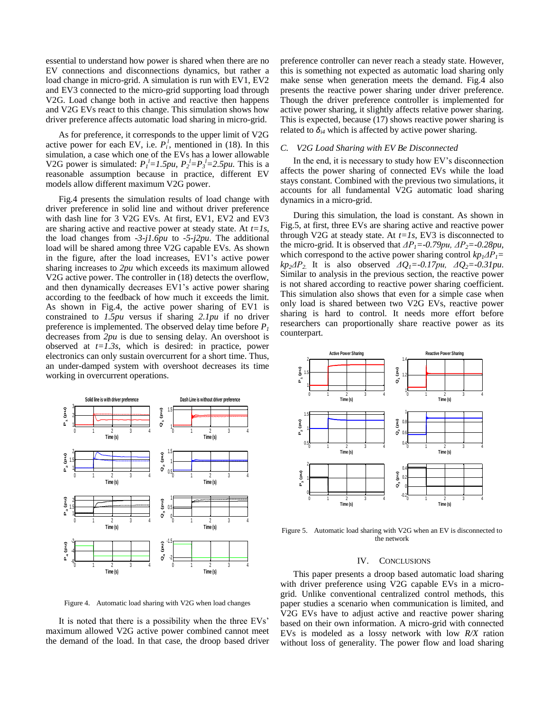essential to understand how power is shared when there are no EV connections and disconnections dynamics, but rather a load change in micro-grid. A simulation is run with EV1, EV2 and EV3 connected to the micro-grid supporting load through V2G. Load change both in active and reactive then happens and V2G EVs react to this change. This simulation shows how driver preference affects automatic load sharing in micro-grid.

As for preference, it corresponds to the upper limit of V2G active power for each EV, i.e.  $P_i^l$ , mentioned in (18). In this simulation, a case which one of the EVs has a lower allowable V2G power is simulated:  $P_l^l = 1.5pu$ ,  $P_2^l = P_3^l = 2.5pu$ . This is a reasonable assumption because in practice, different EV models allow different maximum V2G power.

Fig.4 presents the simulation results of load change with driver preference in solid line and without driver preference with dash line for 3 V2G EVs. At first, EV1, EV2 and EV3 are sharing active and reactive power at steady state. At *t=1s*, the load changes from *-3-j1.6pu* to *-5-j2pu*. The additional load will be shared among three V2G capable EVs. As shown in the figure, after the load increases, EV1's active power sharing increases to *2pu* which exceeds its maximum allowed V2G active power. The controller in (18) detects the overflow, and then dynamically decreases EV1's active power sharing according to the feedback of how much it exceeds the limit. As shown in Fig.4, the active power sharing of EV1 is constrained to *1.5pu* versus if sharing *2.1pu* if no driver preference is implemented. The observed delay time before  $P_I$ decreases from *2pu* is due to sensing delay. An overshoot is observed at  $t = \overline{1.3s}$ , which is desired: in practice, power electronics can only sustain overcurrent for a short time. Thus, an under-damped system with overshoot decreases its time working in overcurrent operations.



Figure 4. Automatic load sharing with V2G when load changes

It is noted that there is a possibility when the three EVs' maximum allowed V2G active power combined cannot meet the demand of the load. In that case, the droop based driver preference controller can never reach a steady state. However, this is something not expected as automatic load sharing only make sense when generation meets the demand. Fig.4 also presents the reactive power sharing under driver preference. Though the driver preference controller is implemented for active power sharing, it slightly affects relative power sharing. This is expected, because (17) shows reactive power sharing is related to  $\delta_{i4}$  which is affected by active power sharing.

### *C. V2G Load Sharing with EV Be Disconnected*

In the end, it is necessary to study how EV's disconnection affects the power sharing of connected EVs while the load stays constant. Combined with the previous two simulations, it accounts for all fundamental V2G automatic load sharing dynamics in a micro-grid.

During this simulation, the load is constant. As shown in Fig.5, at first, three EVs are sharing active and reactive power through V2G at steady state. At *t=1s*, EV3 is disconnected to the micro-grid. It is observed that *ΔP1=-0.79pu, ΔP2=-0.28pu,*  which correspond to the active power sharing control  $kp_1\Delta P_1 =$  $kp_2\Delta P_2$ . It is also observed  $\Delta Q_1 = -0.17pu$ ,  $\Delta Q_2 = -0.31pu$ . Similar to analysis in the previous section, the reactive power is not shared according to reactive power sharing coefficient. This simulation also shows that even for a simple case when only load is shared between two V2G EVs, reactive power sharing is hard to control. It needs more effort before researchers can proportionally share reactive power as its counterpart.



Figure 5. Automatic load sharing with V2G when an EV is disconnected to the network

# IV. CONCLUSIONS

This paper presents a droop based automatic load sharing with driver preference using V2G capable EVs in a microgrid. Unlike conventional centralized control methods, this paper studies a scenario when communication is limited, and V2G EVs have to adjust active and reactive power sharing based on their own information. A micro-grid with connected EVs is modeled as a lossy network with low *R/X* ration without loss of generality. The power flow and load sharing